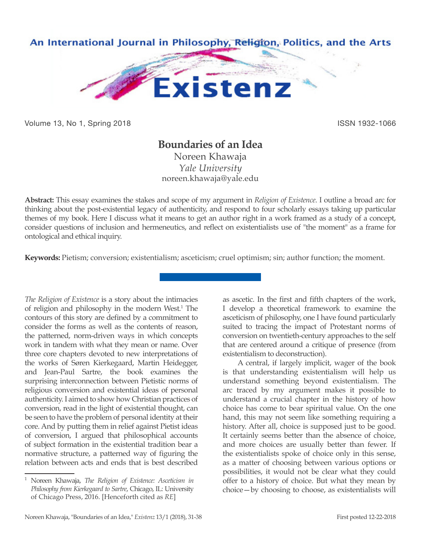

Volume 13, No 1, Spring 2018 **ISSN 1932-1066** ISSN 1932-1066

# **Boundaries of an Idea**

Noreen Khawaja *Yale University* noreen.khawaja@yale.edu

**Abstract:** This essay examines the stakes and scope of my argument in *Religion of Existence*. I outline a broad arc for thinking about the post-existential legacy of authenticity, and respond to four scholarly essays taking up particular themes of my book. Here I discuss what it means to get an author right in a work framed as a study of a concept, consider questions of inclusion and hermeneutics, and reflect on existentialists use of "the moment" as a frame for ontological and ethical inquiry.

**Keywords:** Pietism; conversion; existentialism; asceticism; cruel optimism; sin; author function; the moment.

*The Religion of Existence* is a story about the intimacies of religion and philosophy in the modern West.<sup>1</sup> The contours of this story are defined by a commitment to consider the forms as well as the contents of reason, the patterned, norm-driven ways in which concepts work in tandem with what they mean or name. Over three core chapters devoted to new interpretations of the works of Søren Kierkegaard, Martin Heidegger, and Jean-Paul Sartre, the book examines the surprising interconnection between Pietistic norms of religious conversion and existential ideas of personal authenticity. I aimed to show how Christian practices of conversion, read in the light of existential thought, can be seen to have the problem of personal identity at their core. And by putting them in relief against Pietist ideas of conversion, I argued that philosophical accounts of subject formation in the existential tradition bear a normative structure, a patterned way of figuring the relation between acts and ends that is best described

as ascetic. In the first and fifth chapters of the work, I develop a theoretical framework to examine the asceticism of philosophy, one I have found particularly suited to tracing the impact of Protestant norms of conversion on twentieth-century approaches to the self that are centered around a critique of presence (from existentialism to deconstruction).

A central, if largely implicit, wager of the book is that understanding existentialism will help us understand something beyond existentialism. The arc traced by my argument makes it possible to understand a crucial chapter in the history of how choice has come to bear spiritual value. On the one hand, this may not seem like something requiring a history. After all, choice is supposed just to be good. It certainly seems better than the absence of choice, and more choices are usually better than fewer. If the existentialists spoke of choice only in this sense, as a matter of choosing between various options or possibilities, it would not be clear what they could offer to a history of choice. But what they mean by choice—by choosing to choose, as existentialists will

<sup>1</sup> Noreen Khawaja, *The Religion of Existence: Asceticism in Philosophy from Kierkegaard to Sartre*, Chicago, IL: University of Chicago Press, 2016. [Henceforth cited as *RE*]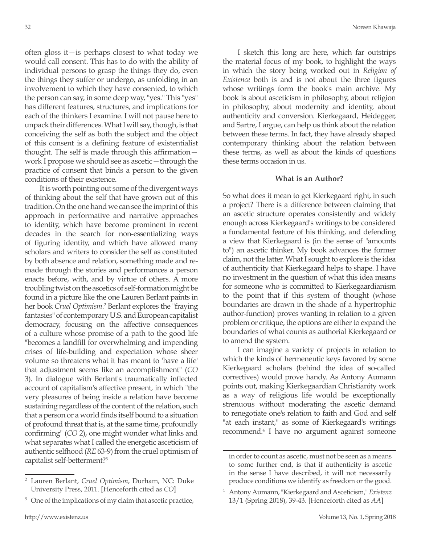often gloss it—is perhaps closest to what today we would call consent. This has to do with the ability of individual persons to grasp the things they do, even the things they suffer or undergo, as unfolding in an involvement to which they have consented, to which the person can say, in some deep way, "yes." This "yes" has different features, structures, and implications for each of the thinkers I examine. I will not pause here to unpack their differences. What I will say, though, is that conceiving the self as both the subject and the object of this consent is a defining feature of existentialist thought. The self is made through this affirmation work I propose we should see as ascetic—through the practice of consent that binds a person to the given conditions of their existence.

It is worth pointing out some of the divergent ways of thinking about the self that have grown out of this tradition. On the one hand we can see the imprint of this approach in performative and narrative approaches to identity, which have become prominent in recent decades in the search for non-essentializing ways of figuring identity, and which have allowed many scholars and writers to consider the self as constituted by both absence and relation, something made and remade through the stories and performances a person enacts before, with, and by virtue of others. A more troubling twist on the ascetics of self-formation might be found in a picture like the one Lauren Berlant paints in her book *Cruel Optimism*.<sup>2</sup> Berlant explores the "fraying fantasies" of contemporary U.S. and European capitalist democracy, focusing on the affective consequences of a culture whose promise of a path to the good life "becomes a landfill for overwhelming and impending crises of life-building and expectation whose sheer volume so threatens what it has meant to 'have a life' that adjustment seems like an accomplishment" (*CO* 3). In dialogue with Berlant's traumatically inflected account of capitalism's affective present, in which "the very pleasures of being inside a relation have become sustaining regardless of the content of the relation, such that a person or a world finds itself bound to a situation of profound threat that is, at the same time, profoundly confirming" (*CO* 2), one might wonder what links and what separates what I called the energetic asceticism of authentic selfhood (*RE* 63-9) from the cruel optimism of capitalist self-betterment?3

I sketch this long arc here, which far outstrips the material focus of my book, to highlight the ways in which the story being worked out in *Religion of Existence* both is and is not about the three figures whose writings form the book's main archive. My book is about asceticism in philosophy, about religion in philosophy, about modernity and identity, about authenticity and conversion. Kierkegaard, Heidegger, and Sartre, I argue, can help us think about the relation between these terms. In fact, they have already shaped contemporary thinking about the relation between these terms, as well as about the kinds of questions these terms occasion in us.

### **What is an Author?**

So what does it mean to get Kierkegaard right, in such a project? There is a difference between claiming that an ascetic structure operates consistently and widely enough across Kierkegaard's writings to be considered a fundamental feature of his thinking, and defending a view that Kierkegaard is (in the sense of "amounts to") an ascetic thinker. My book advances the former claim, not the latter. What I sought to explore is the idea of authenticity that Kierkegaard helps to shape. I have no investment in the question of what this idea means for someone who is committed to Kierkegaardianism to the point that if this system of thought (whose boundaries are drawn in the shade of a hypertrophic author-function) proves wanting in relation to a given problem or critique, the options are either to expand the boundaries of what counts as authorial Kierkegaard or to amend the system.

I can imagine a variety of projects in relation to which the kinds of hermeneutic keys favored by some Kierkegaard scholars (behind the idea of so-called correctives) would prove handy. As Antony Aumann points out, making Kierkegaardian Christianity work as a way of religious life would be exceptionally strenuous without moderating the ascetic demand to renegotiate one's relation to faith and God and self "at each instant," as some of Kierkegaard's writings recommend.4 I have no argument against someone

<sup>2</sup> Lauren Berlant, *Cruel Optimism*, Durham, NC: Duke University Press, 2011. [Henceforth cited as *CO*]

 $3$  One of the implications of my claim that ascetic practice,

in order to count as ascetic, must not be seen as a means to some further end, is that if authenticity is ascetic in the sense I have described, it will not necessarily produce conditions we identify as freedom or the good.

<sup>4</sup> Antony Aumann, "Kierkegaard and Asceticism," *Existenz* 13/1 (Spring 2018), 39-43. [Henceforth cited as *AA*]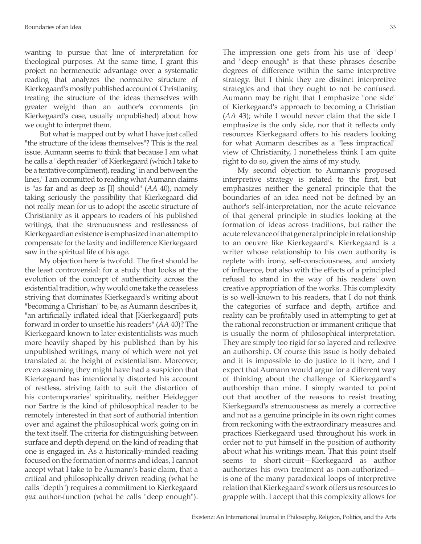wanting to pursue that line of interpretation for theological purposes. At the same time, I grant this project no hermeneutic advantage over a systematic reading that analyzes the normative structure of Kierkegaard's mostly published account of Christianity, treating the structure of the ideas themselves with greater weight than an author's comments (in Kierkegaard's case, usually unpublished) about how we ought to interpret them.

But what is mapped out by what I have just called "the structure of the ideas themselves"? This is the real issue. Aumann seems to think that because I am what he calls a "depth reader" of Kierkegaard (which I take to be a tentative compliment), reading "in and between the lines," I am committed to reading what Aumann claims is "as far and as deep as [I] should" (*AA* 40), namely taking seriously the possibility that Kierkegaard did not really mean for us to adopt the ascetic structure of Christianity as it appears to readers of his published writings, that the strenuousness and restlessness of Kierkegaardian existence is emphasized in an attempt to compensate for the laxity and indifference Kierkegaard saw in the spiritual life of his age.

My objection here is twofold. The first should be the least controversial: for a study that looks at the evolution of the concept of authenticity across the existential tradition, why would one take the ceaseless striving that dominates Kierkegaard's writing about "becoming a Christian" to be, as Aumann describes it, "an artificially inflated ideal that [Kierkegaard] puts forward in order to unsettle his readers" (*AA* 40)? The Kierkegaard known to later existentialists was much more heavily shaped by his published than by his unpublished writings, many of which were not yet translated at the height of existentialism. Moreover, even assuming they might have had a suspicion that Kierkegaard has intentionally distorted his account of restless, striving faith to suit the distortion of his contemporaries' spirituality, neither Heidegger nor Sartre is the kind of philosophical reader to be remotely interested in that sort of authorial intention over and against the philosophical work going on in the text itself. The criteria for distinguishing between surface and depth depend on the kind of reading that one is engaged in. As a historically-minded reading focused on the formation of norms and ideas, I cannot accept what I take to be Aumann's basic claim, that a critical and philosophically driven reading (what he calls "depth") requires a commitment to Kierkegaard *qua* author-function (what he calls "deep enough"). The impression one gets from his use of "deep" and "deep enough" is that these phrases describe degrees of difference within the same interpretive strategy. But I think they are distinct interpretive strategies and that they ought to not be confused. Aumann may be right that I emphasize "one side" of Kierkegaard's approach to becoming a Christian (*AA* 43); while I would never claim that the side I emphasize is the only side, nor that it reflects only resources Kierkegaard offers to his readers looking for what Aumann describes as a "less impractical" view of Christianity, I nonetheless think I am quite right to do so, given the aims of my study.

My second objection to Aumann's proposed interpretive strategy is related to the first, but emphasizes neither the general principle that the boundaries of an idea need not be defined by an author's self-interpretation, nor the acute relevance of that general principle in studies looking at the formation of ideas across traditions, but rather the acute relevance of that general principle in relationship to an oeuvre like Kierkegaard's. Kierkegaard is a writer whose relationship to his own authority is replete with irony, self-consciousness, and anxiety of influence, but also with the effects of a principled refusal to stand in the way of his readers' own creative appropriation of the works. This complexity is so well-known to his readers, that I do not think the categories of surface and depth, artifice and reality can be profitably used in attempting to get at the rational reconstruction or immanent critique that is usually the norm of philosophical interpretation. They are simply too rigid for so layered and reflexive an authorship. Of course this issue is hotly debated and it is impossible to do justice to it here, and I expect that Aumann would argue for a different way of thinking about the challenge of Kierkegaard's authorship than mine. I simply wanted to point out that another of the reasons to resist treating Kierkegaard's strenuousness as merely a corrective and not as a genuine principle in its own right comes from reckoning with the extraordinary measures and practices Kierkegaard used throughout his work in order not to put himself in the position of authority about what his writings mean. That this point itself seems to short-circuit—Kierkegaard as author authorizes his own treatment as non-authorized is one of the many paradoxical loops of interpretive relation that Kierkegaard's work offers us resources to grapple with. I accept that this complexity allows for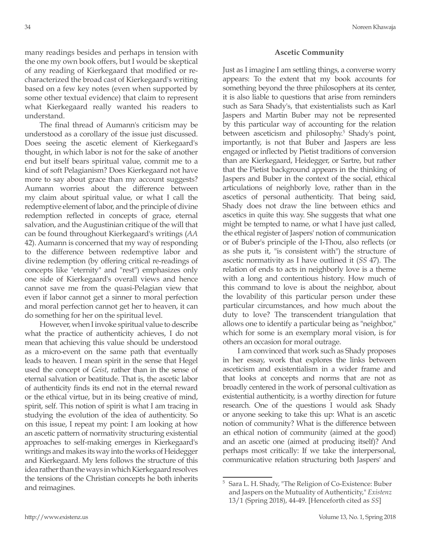many readings besides and perhaps in tension with the one my own book offers, but I would be skeptical of any reading of Kierkegaard that modified or recharacterized the broad cast of Kierkegaard's writing based on a few key notes (even when supported by some other textual evidence) that claim to represent what Kierkegaard really wanted his readers to understand.

The final thread of Aumann's criticism may be understood as a corollary of the issue just discussed. Does seeing the ascetic element of Kierkegaard's thought, in which labor is not for the sake of another end but itself bears spiritual value, commit me to a kind of soft Pelagianism? Does Kierkegaard not have more to say about grace than my account suggests? Aumann worries about the difference between my claim about spiritual value, or what I call the redemptive element of labor, and the principle of divine redemption reflected in concepts of grace, eternal salvation, and the Augustinian critique of the will that can be found throughout Kierkegaard's writings (*AA* 42). Aumann is concerned that my way of responding to the difference between redemptive labor and divine redemption (by offering critical re-readings of concepts like "eternity" and "rest") emphasizes only one side of Kierkegaard's overall views and hence cannot save me from the quasi-Pelagian view that even if labor cannot get a sinner to moral perfection and moral perfection cannot get her to heaven, it can do something for her on the spiritual level.

However, when I invoke spiritual value to describe what the practice of authenticity achieves, I do not mean that achieving this value should be understood as a micro-event on the same path that eventually leads to heaven. I mean spirit in the sense that Hegel used the concept of *Geist*, rather than in the sense of eternal salvation or beatitude. That is, the ascetic labor of authenticity finds its end not in the eternal reward or the ethical virtue, but in its being creative of mind, spirit, self. This notion of spirit is what I am tracing in studying the evolution of the idea of authenticity. So on this issue, I repeat my point: I am looking at how an ascetic pattern of normativity structuring existential approaches to self-making emerges in Kierkegaard's writings and makes its way into the works of Heidegger and Kierkegaard. My lens follows the structure of this idea rather than the ways in which Kierkegaard resolves the tensions of the Christian concepts he both inherits and reimagines.

## **Ascetic Community**

Just as I imagine I am settling things, a converse worry appears: To the extent that my book accounts for something beyond the three philosophers at its center, it is also liable to questions that arise from reminders such as Sara Shady's, that existentialists such as Karl Jaspers and Martin Buber may not be represented by this particular way of accounting for the relation between asceticism and philosophy.<sup>5</sup> Shady's point, importantly, is not that Buber and Jaspers are less engaged or inflected by Pietist traditions of conversion than are Kierkegaard, Heidegger, or Sartre, but rather that the Pietist background appears in the thinking of Jaspers and Buber in the context of the social, ethical articulations of neighborly love, rather than in the ascetics of personal authenticity. That being said, Shady does not draw the line between ethics and ascetics in quite this way. She suggests that what one might be tempted to name, or what I have just called, the ethical register of Jaspers' notion of communication or of Buber's principle of the I-Thou, also reflects (or as she puts it, "is consistent with") the structure of ascetic normativity as I have outlined it (*SS* 47). The relation of ends to acts in neighborly love is a theme with a long and contentious history. How much of this command to love is about the neighbor, about the lovability of this particular person under these particular circumstances, and how much about the duty to love? The transcendent triangulation that allows one to identify a particular being as "neighbor," which for some is an exemplary moral vision, is for others an occasion for moral outrage.

I am convinced that work such as Shady proposes in her essay, work that explores the links between asceticism and existentialism in a wider frame and that looks at concepts and norms that are not as broadly centered in the work of personal cultivation as existential authenticity, is a worthy direction for future research. One of the questions I would ask Shady or anyone seeking to take this up: What is an ascetic notion of community? What is the difference between an ethical notion of community (aimed at the good) and an ascetic one (aimed at producing itself)? And perhaps most critically: If we take the interpersonal, communicative relation structuring both Jaspers' and

<sup>5</sup> Sara L. H. Shady, "The Religion of Co-Existence: Buber and Jaspers on the Mutuality of Authenticity," *Existenz* 13/1 (Spring 2018), 44-49. [Henceforth cited as *SS*]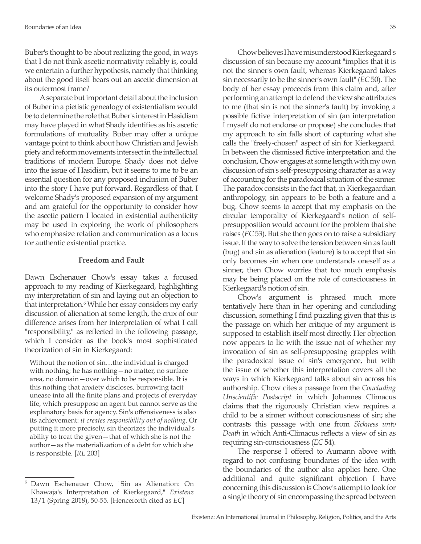Buber's thought to be about realizing the good, in ways that I do not think ascetic normativity reliably is, could we entertain a further hypothesis, namely that thinking about the good itself bears out an ascetic dimension at its outermost frame?

A separate but important detail about the inclusion of Buber in a pietistic genealogy of existentialism would be to determine the role that Buber's interest in Hasidism may have played in what Shady identifies as his ascetic formulations of mutuality. Buber may offer a unique vantage point to think about how Christian and Jewish piety and reform movements intersect in the intellectual traditions of modern Europe. Shady does not delve into the issue of Hasidism, but it seems to me to be an essential question for any proposed inclusion of Buber into the story I have put forward. Regardless of that, I welcome Shady's proposed expansion of my argument and am grateful for the opportunity to consider how the ascetic pattern I located in existential authenticity may be used in exploring the work of philosophers who emphasize relation and communication as a locus for authentic existential practice.

# **Freedom and Fault**

Dawn Eschenauer Chow's essay takes a focused approach to my reading of Kierkegaard, highlighting my interpretation of sin and laying out an objection to that interpretation.<sup>6</sup> While her essay considers my early discussion of alienation at some length, the crux of our difference arises from her interpretation of what I call "responsibility," as reflected in the following passage, which I consider as the book's most sophisticated theorization of sin in Kierkegaard:

Without the notion of sin…the individual is charged with nothing; he has nothing—no matter, no surface area, no domain—over which to be responsible. It is this nothing that anxiety discloses, burrowing tacit unease into all the finite plans and projects of everyday life, which presuppose an agent but cannot serve as the explanatory basis for agency. Sin's offensiveness is also its achievement: *it creates responsibility out of nothing*. Or putting it more precisely, sin theorizes the individual's ability to treat the given—that of which she is not the author—as the materialization of a debt for which she is responsible. [*RE* 203]

Chow believes I have misunderstood Kierkegaard's discussion of sin because my account "implies that it is not the sinner's own fault, whereas Kierkegaard takes sin necessarily to be the sinner's own fault" (*EC* 50). The body of her essay proceeds from this claim and, after performing an attempt to defend the view she attributes to me (that sin is not the sinner's fault) by invoking a possible fictive interpretation of sin (an interpretation I myself do not endorse or propose) she concludes that my approach to sin falls short of capturing what she calls the "freely-chosen" aspect of sin for Kierkegaard. In between the dismissed fictive interpretation and the conclusion, Chow engages at some length with my own discussion of sin's self-presupposing character as a way of accounting for the paradoxical situation of the sinner. The paradox consists in the fact that, in Kierkegaardian anthropology, sin appears to be both a feature and a bug. Chow seems to accept that my emphasis on the circular temporality of Kierkegaard's notion of selfpresupposition would account for the problem that she raises (*EC* 53). But she then goes on to raise a subsidiary issue. If the way to solve the tension between sin as fault (bug) and sin as alienation (feature) is to accept that sin only becomes sin when one understands oneself as a sinner, then Chow worries that too much emphasis may be being placed on the role of consciousness in Kierkegaard's notion of sin.

Chow's argument is phrased much more tentatively here than in her opening and concluding discussion, something I find puzzling given that this is the passage on which her critique of my argument is supposed to establish itself most directly. Her objection now appears to lie with the issue not of whether my invocation of sin as self-presupposing grapples with the paradoxical issue of sin's emergence, but with the issue of whether this interpretation covers all the ways in which Kierkegaard talks about sin across his authorship. Chow cites a passage from the *Concluding Unscientific Postscript* in which Johannes Climacus claims that the rigorously Christian view requires a child to be a sinner without consciousness of sin; she contrasts this passage with one from *Sickness unto Death* in which Anti-Climacus reflects a view of sin as requiring sin-consciousness (*EC* 54).

The response I offered to Aumann above with regard to not confusing boundaries of the idea with the boundaries of the author also applies here. One additional and quite significant objection I have concerning this discussion is Chow's attempt to look for a single theory of sin encompassing the spread between

Dawn Eschenauer Chow, "Sin as Alienation: On Khawaja's Interpretation of Kierkegaard," *Existenz* 13/1 (Spring 2018), 50-55. [Henceforth cited as *EC*]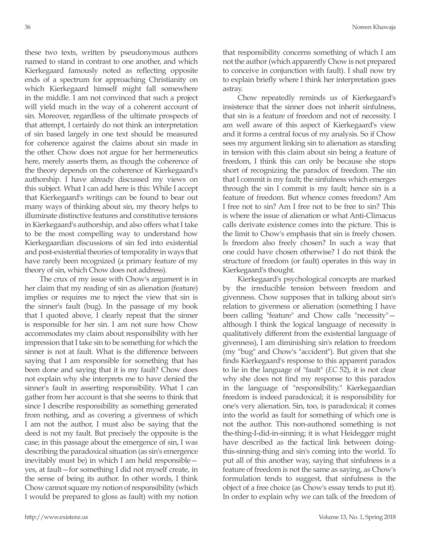these two texts, written by pseudonymous authors named to stand in contrast to one another, and which Kierkegaard famously noted as reflecting opposite ends of a spectrum for approaching Christianity on which Kierkegaard himself might fall somewhere in the middle. I am not convinced that such a project will yield much in the way of a coherent account of sin. Moreover, regardless of the ultimate prospects of that attempt, I certainly do not think an interpretation of sin based largely in one text should be measured for coherence against the claims about sin made in the other. Chow does not argue for her hermeneutics here, merely asserts them, as though the coherence of the theory depends on the coherence of Kierkegaard's authorship. I have already discussed my views on this subject. What I can add here is this: While I accept that Kierkegaard's writings can be found to bear out many ways of thinking about sin, my theory helps to illuminate distinctive features and constitutive tensions in Kierkegaard's authorship, and also offers what I take to be the most compelling way to understand how Kierkegaardian discussions of sin fed into existential and post-existential theories of temporality in ways that have rarely been recognized (a primary feature of my theory of sin, which Chow does not address).

The crux of my issue with Chow's argument is in her claim that my reading of sin as alienation (feature) implies or requires me to reject the view that sin is the sinner's fault (bug). In the passage of my book that I quoted above, I clearly repeat that the sinner is responsible for her sin. I am not sure how Chow accommodates my claim about responsibility with her impression that I take sin to be something for which the sinner is not at fault. What is the difference between saying that I am responsible for something that has been done and saying that it is my fault? Chow does not explain why she interprets me to have denied the sinner's fault in asserting responsibility. What I can gather from her account is that she seems to think that since I describe responsibility as something generated from nothing, and as covering a givenness of which I am not the author, I must also be saying that the deed is not my fault. But precisely the opposite is the case; in this passage about the emergence of sin, I was describing the paradoxical situation (as sin's emergence inevitably must be) in which I am held responsible yes, at fault—for something I did not myself create, in the sense of being its author. In other words, I think Chow cannot square my notion of responsibility (which I would be prepared to gloss as fault) with my notion that responsibility concerns something of which I am not the author (which apparently Chow is not prepared to conceive in conjunction with fault). I shall now try to explain briefly where I think her interpretation goes astray.

Chow repeatedly reminds us of Kierkegaard's insistence that the sinner does not inherit sinfulness, that sin is a feature of freedom and not of necessity. I am well aware of this aspect of Kierkegaard's view and it forms a central focus of my analysis. So if Chow sees my argument linking sin to alienation as standing in tension with this claim about sin being a feature of freedom, I think this can only be because she stops short of recognizing the paradox of freedom. The sin that I commit is my fault; the sinfulness which emerges through the sin I commit is my fault; hence sin is a feature of freedom. But whence comes freedom? Am I free not to sin? Am I free not to be free to sin? This is where the issue of alienation or what Anti-Climacus calls derivate existence comes into the picture. This is the limit to Chow's emphasis that sin is freely chosen. Is freedom also freely chosen? In such a way that one could have chosen otherwise? I do not think the structure of freedom (or fault) operates in this way in Kierkegaard's thought.

Kierkegaard's psychological concepts are marked by the irreducible tension between freedom and givenness. Chow supposes that in talking about sin's relation to givenness or alienation (something I have been calling "feature" and Chow calls "necessity" although I think the logical language of necessity is qualitatively different from the existential language of givenness), I am diminishing sin's relation to freedom (my "bug" and Chow's "accident"). But given that she finds Kierkegaard's response to this apparent paradox to lie in the language of "fault" (*EC* 52), it is not clear why she does not find my response to this paradox in the language of "responsibility." Kierkegaardian freedom is indeed paradoxical; it is responsibility for one's very alienation. Sin, too, is paradoxical; it comes into the world as fault for something of which one is not the author. This non-authored something is not the-thing-I-did-in-sinning; it is what Heidegger might have described as the factical link between doingthis-sinning-thing and sin's coming into the world. To put all of this another way, saying that sinfulness is a feature of freedom is not the same as saying, as Chow's formulation tends to suggest, that sinfulness is the object of a free choice (as Chow's essay tends to put it). In order to explain why we can talk of the freedom of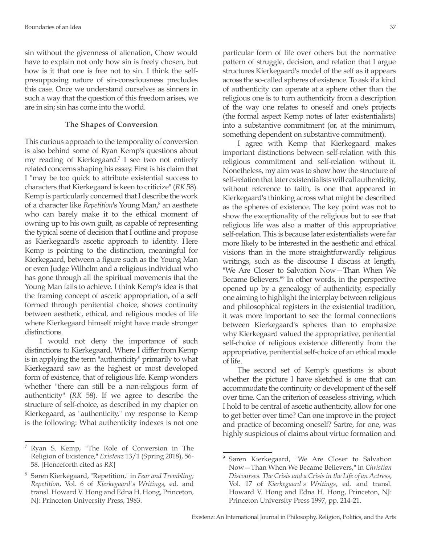sin without the givenness of alienation, Chow would have to explain not only how sin is freely chosen, but how is it that one is free not to sin. I think the selfpresupposing nature of sin-consciousness precludes this case. Once we understand ourselves as sinners in such a way that the question of this freedom arises, we are in sin; sin has come into the world.

#### **The Shapes of Conversion**

This curious approach to the temporality of conversion is also behind some of Ryan Kemp's questions about my reading of Kierkegaard.7 I see two not entirely related concerns shaping his essay. First is his claim that I "may be too quick to attribute existential success to characters that Kierkegaard is keen to criticize" (*RK* 58). Kemp is particularly concerned that I describe the work of a character like *Repetition's* Young Man,<sup>8</sup> an aesthete who can barely make it to the ethical moment of owning up to his own guilt, as capable of representing the typical scene of decision that I outline and propose as Kierkegaard's ascetic approach to identity. Here Kemp is pointing to the distinction, meaningful for Kierkegaard, between a figure such as the Young Man or even Judge Wilhelm and a religious individual who has gone through all the spiritual movements that the Young Man fails to achieve. I think Kemp's idea is that the framing concept of ascetic appropriation, of a self formed through penitential choice, shows continuity between aesthetic, ethical, and religious modes of life where Kierkegaard himself might have made stronger distinctions.

I would not deny the importance of such distinctions to Kierkegaard. Where I differ from Kemp is in applying the term "authenticity" primarily to what Kierkegaard saw as the highest or most developed form of existence, that of religious life. Kemp wonders whether "there can still be a non-religious form of authenticity" (*RK* 58). If we agree to describe the structure of self-choice, as described in my chapter on Kierkegaard, as "authenticity," my response to Kemp is the following: What authenticity indexes is not one particular form of life over others but the normative pattern of struggle, decision, and relation that I argue structures Kierkegaard's model of the self as it appears across the so-called spheres of existence. To ask if a kind of authenticity can operate at a sphere other than the religious one is to turn authenticity from a description of the way one relates to oneself and one's projects (the formal aspect Kemp notes of later existentialists) into a substantive commitment (or, at the minimum, something dependent on substantive commitment).

I agree with Kemp that Kierkegaard makes important distinctions between self-relation with this religious commitment and self-relation without it. Nonetheless, my aim was to show how the structure of self-relation that later existentialists will call authenticity, without reference to faith, is one that appeared in Kierkegaard's thinking across what might be described as the spheres of existence. The key point was not to show the exceptionality of the religious but to see that religious life was also a matter of this appropriative self-relation. This is because later existentialists were far more likely to be interested in the aesthetic and ethical visions than in the more straightforwardly religious writings, such as the discourse I discuss at length, "We Are Closer to Salvation Now—Than When We Became Believers."<sup>9</sup> In other words, in the perspective opened up by a genealogy of authenticity, especially one aiming to highlight the interplay between religious and philosophical registers in the existential tradition, it was more important to see the formal connections between Kierkegaard's spheres than to emphasize why Kierkegaard valued the appropriative, penitential self-choice of religious existence differently from the appropriative, penitential self-choice of an ethical mode of life.

The second set of Kemp's questions is about whether the picture I have sketched is one that can accommodate the continuity or development of the self over time. Can the criterion of ceaseless striving, which I hold to be central of ascetic authenticity, allow for one to get better over time? Can one improve in the project and practice of becoming oneself? Sartre, for one, was highly suspicious of claims about virtue formation and

<sup>7</sup> Ryan S. Kemp, "The Role of Conversion in The Religion of Existence," *Existenz* 13/1 (Spring 2018), 56- 58. [Henceforth cited as *RK*]

<sup>8</sup> Søren Kierkegaard, "Repetition," in *Fear and Trembling; Repetition*, Vol. 6 of *Kierkegaard's Writings*, ed. and transl. Howard V. Hong and Edna H. Hong, Princeton, NJ: Princeton University Press, 1983.

<sup>9</sup> Søren Kierkegaard, "We Are Closer to Salvation Now—Than When We Became Believers," in *Christian Discourses. The Crisis and a Crisis in the Life of an Actress*, Vol. 17 of *Kierkegaard's Writings*, ed. and transl. Howard V. Hong and Edna H. Hong, Princeton, NJ: Princeton University Press 1997, pp. 214-21.